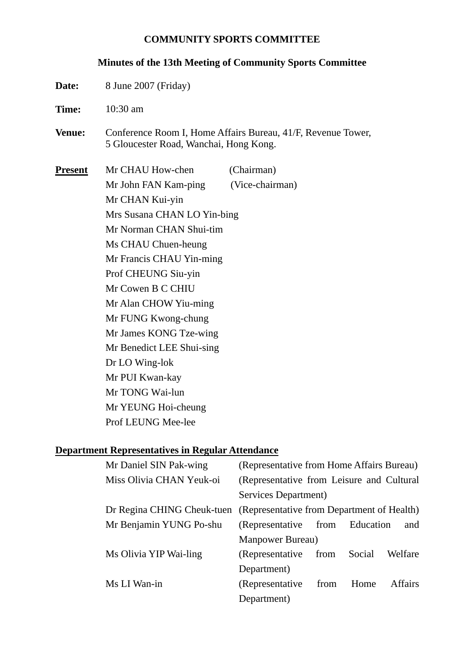#### **COMMUNITY SPORTS COMMITTEE**

#### **Minutes of the 13th Meeting of Community Sports Committee**

- **Date:** 8 June 2007 (Friday)
- **Time:** 10:30 am
- **Venue:** Conference Room I, Home Affairs Bureau, 41/F, Revenue Tower, 5 Gloucester Road, Wanchai, Hong Kong.

**Present** Mr CHAU How-chen (Chairman) Mr John FAN Kam-ping (Vice-chairman) Mr CHAN Kui-yin Mrs Susana CHAN LO Yin-bing Mr Norman CHAN Shui-tim Ms CHAU Chuen-heung Mr Francis CHAU Yin-ming Prof CHEUNG Siu-yin Mr Cowen B C CHIU Mr Alan CHOW Yiu-ming Mr FUNG Kwong-chung Mr James KONG Tze-wing Mr Benedict LEE Shui-sing Dr LO Wing-lok Mr PUI Kwan-kay Mr TONG Wai-lun Mr YEUNG Hoi-cheung

Prof LEUNG Mee-lee

#### **Department Representatives in Regular Attendance**

| Mr Daniel SIN Pak-wing   | (Representative from Home Affairs Bureau)                             |      |        |                |
|--------------------------|-----------------------------------------------------------------------|------|--------|----------------|
| Miss Olivia CHAN Yeuk-oi | (Representative from Leisure and Cultural                             |      |        |                |
|                          | Services Department)                                                  |      |        |                |
|                          | Dr Regina CHING Cheuk-tuen (Representative from Department of Health) |      |        |                |
| Mr Benjamin YUNG Po-shu  | (Representative from Education                                        |      |        | and            |
|                          | Manpower Bureau)                                                      |      |        |                |
| Ms Olivia YIP Wai-ling   | (Representative)                                                      | from | Social | Welfare        |
|                          | Department)                                                           |      |        |                |
| Ms LI Wan-in             | (Representative)                                                      | from | Home   | <b>Affairs</b> |
|                          | Department)                                                           |      |        |                |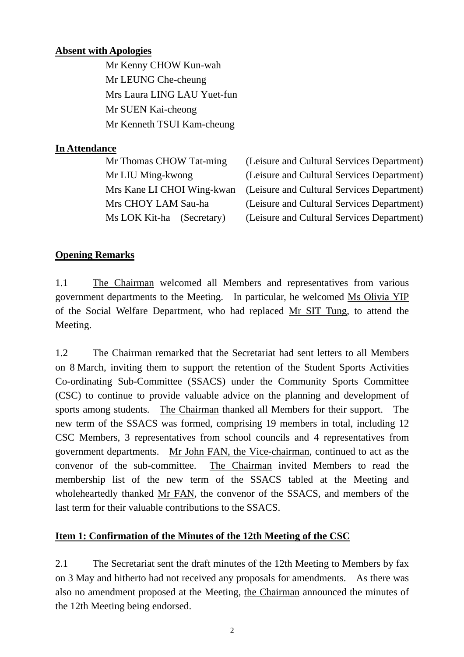#### **Absent with Apologies**

Mr Kenny CHOW Kun-wah Mr LEUNG Che-cheung Mrs Laura LING LAU Yuet-fun Mr SUEN Kai-cheong Mr Kenneth TSUI Kam-cheung

## **In Attendance**

| (Leisure and Cultural Services Department) |
|--------------------------------------------|
| (Leisure and Cultural Services Department) |
| (Leisure and Cultural Services Department) |
| (Leisure and Cultural Services Department) |
| (Leisure and Cultural Services Department) |
|                                            |

## **Opening Remarks**

1.1 The Chairman welcomed all Members and representatives from various government departments to the Meeting. In particular, he welcomed Ms Olivia YIP of the Social Welfare Department, who had replaced Mr SIT Tung, to attend the Meeting.

1.2 The Chairman remarked that the Secretariat had sent letters to all Members on 8 March, inviting them to support the retention of the Student Sports Activities Co-ordinating Sub-Committee (SSACS) under the Community Sports Committee (CSC) to continue to provide valuable advice on the planning and development of sports among students. The Chairman thanked all Members for their support. The new term of the SSACS was formed, comprising 19 members in total, including 12 CSC Members, 3 representatives from school councils and 4 representatives from government departments. Mr John FAN, the Vice-chairman, continued to act as the convenor of the sub-committee. The Chairman invited Members to read the membership list of the new term of the SSACS tabled at the Meeting and wholeheartedly thanked Mr FAN, the convenor of the SSACS, and members of the last term for their valuable contributions to the SSACS.

## **Item 1: Confirmation of the Minutes of the 12th Meeting of the CSC**

2.1 The Secretariat sent the draft minutes of the 12th Meeting to Members by fax on 3 May and hitherto had not received any proposals for amendments. As there was also no amendment proposed at the Meeting, the Chairman announced the minutes of the 12th Meeting being endorsed.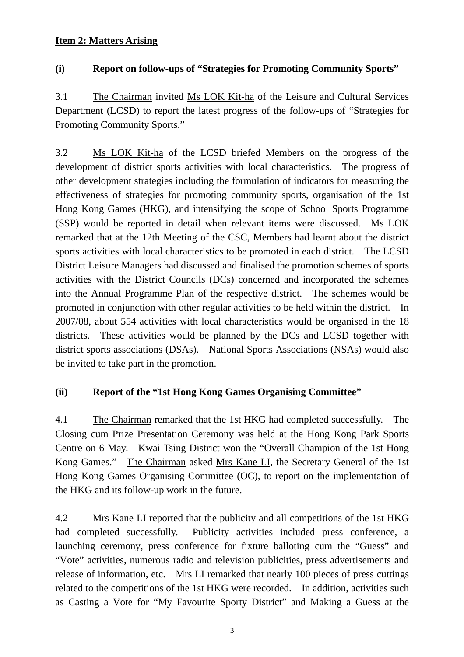## **Item 2: Matters Arising**

#### **(i) Report on follow-ups of "Strategies for Promoting Community Sports"**

3.1 The Chairman invited Ms LOK Kit-ha of the Leisure and Cultural Services Department (LCSD) to report the latest progress of the follow-ups of "Strategies for Promoting Community Sports."

3.2 Ms LOK Kit-ha of the LCSD briefed Members on the progress of the development of district sports activities with local characteristics. The progress of other development strategies including the formulation of indicators for measuring the effectiveness of strategies for promoting community sports, organisation of the 1st Hong Kong Games (HKG), and intensifying the scope of School Sports Programme (SSP) would be reported in detail when relevant items were discussed. Ms LOK remarked that at the 12th Meeting of the CSC, Members had learnt about the district sports activities with local characteristics to be promoted in each district. The LCSD District Leisure Managers had discussed and finalised the promotion schemes of sports activities with the District Councils (DCs) concerned and incorporated the schemes into the Annual Programme Plan of the respective district. The schemes would be promoted in conjunction with other regular activities to be held within the district. In 2007/08, about 554 activities with local characteristics would be organised in the 18 districts. These activities would be planned by the DCs and LCSD together with district sports associations (DSAs). National Sports Associations (NSAs) would also be invited to take part in the promotion.

## **(ii) Report of the "1st Hong Kong Games Organising Committee"**

4.1 The Chairman remarked that the 1st HKG had completed successfully. The Closing cum Prize Presentation Ceremony was held at the Hong Kong Park Sports Centre on 6 May. Kwai Tsing District won the "Overall Champion of the 1st Hong Kong Games." The Chairman asked Mrs Kane LI, the Secretary General of the 1st Hong Kong Games Organising Committee (OC), to report on the implementation of the HKG and its follow-up work in the future.

4.2 Mrs Kane LI reported that the publicity and all competitions of the 1st HKG had completed successfully. Publicity activities included press conference, a launching ceremony, press conference for fixture balloting cum the "Guess" and "Vote" activities, numerous radio and television publicities, press advertisements and release of information, etc. Mrs LI remarked that nearly 100 pieces of press cuttings related to the competitions of the 1st HKG were recorded. In addition, activities such as Casting a Vote for "My Favourite Sporty District" and Making a Guess at the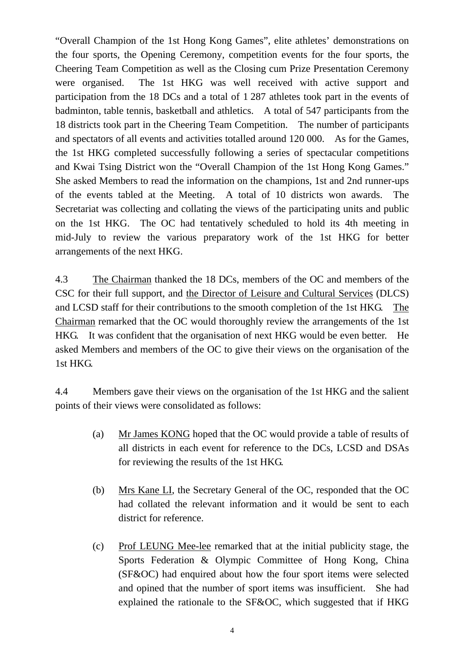"Overall Champion of the 1st Hong Kong Games", elite athletes' demonstrations on the four sports, the Opening Ceremony, competition events for the four sports, the Cheering Team Competition as well as the Closing cum Prize Presentation Ceremony were organised. The 1st HKG was well received with active support and participation from the 18 DCs and a total of 1 287 athletes took part in the events of badminton, table tennis, basketball and athletics. A total of 547 participants from the 18 districts took part in the Cheering Team Competition. The number of participants and spectators of all events and activities totalled around 120 000. As for the Games, the 1st HKG completed successfully following a series of spectacular competitions and Kwai Tsing District won the "Overall Champion of the 1st Hong Kong Games." She asked Members to read the information on the champions, 1st and 2nd runner-ups of the events tabled at the Meeting. A total of 10 districts won awards. The Secretariat was collecting and collating the views of the participating units and public on the 1st HKG. The OC had tentatively scheduled to hold its 4th meeting in mid-July to review the various preparatory work of the 1st HKG for better arrangements of the next HKG.

4.3 The Chairman thanked the 18 DCs, members of the OC and members of the CSC for their full support, and the Director of Leisure and Cultural Services (DLCS) and LCSD staff for their contributions to the smooth completion of the 1st HKG. The Chairman remarked that the OC would thoroughly review the arrangements of the 1st HKG. It was confident that the organisation of next HKG would be even better. He asked Members and members of the OC to give their views on the organisation of the 1st HKG.

4.4 Members gave their views on the organisation of the 1st HKG and the salient points of their views were consolidated as follows:

- (a) Mr James KONG hoped that the OC would provide a table of results of all districts in each event for reference to the DCs, LCSD and DSAs for reviewing the results of the 1st HKG.
- (b) Mrs Kane LI, the Secretary General of the OC, responded that the OC had collated the relevant information and it would be sent to each district for reference.
- (c) Prof LEUNG Mee-lee remarked that at the initial publicity stage, the Sports Federation & Olympic Committee of Hong Kong, China (SF&OC) had enquired about how the four sport items were selected and opined that the number of sport items was insufficient. She had explained the rationale to the SF&OC, which suggested that if HKG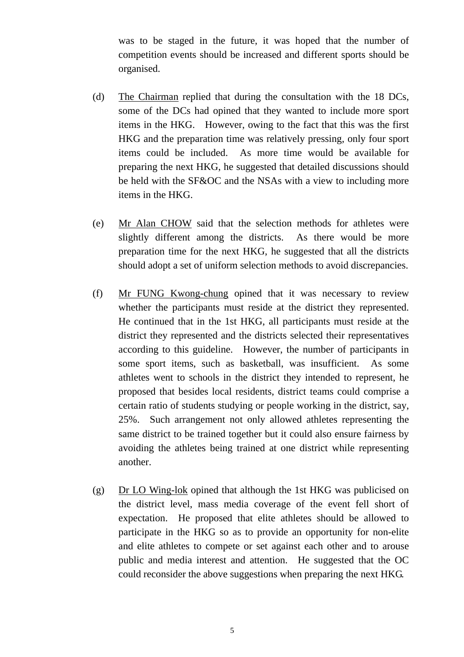was to be staged in the future, it was hoped that the number of competition events should be increased and different sports should be organised.

- (d) The Chairman replied that during the consultation with the 18 DCs, some of the DCs had opined that they wanted to include more sport items in the HKG. However, owing to the fact that this was the first HKG and the preparation time was relatively pressing, only four sport items could be included. As more time would be available for preparing the next HKG, he suggested that detailed discussions should be held with the SF&OC and the NSAs with a view to including more items in the HKG.
- (e) Mr Alan CHOW said that the selection methods for athletes were slightly different among the districts. As there would be more preparation time for the next HKG, he suggested that all the districts should adopt a set of uniform selection methods to avoid discrepancies.
- (f) Mr FUNG Kwong-chung opined that it was necessary to review whether the participants must reside at the district they represented. He continued that in the 1st HKG, all participants must reside at the district they represented and the districts selected their representatives according to this guideline. However, the number of participants in some sport items, such as basketball, was insufficient. As some athletes went to schools in the district they intended to represent, he proposed that besides local residents, district teams could comprise a certain ratio of students studying or people working in the district, say, 25%. Such arrangement not only allowed athletes representing the same district to be trained together but it could also ensure fairness by avoiding the athletes being trained at one district while representing another.
- (g) Dr LO Wing-lok opined that although the 1st HKG was publicised on the district level, mass media coverage of the event fell short of expectation. He proposed that elite athletes should be allowed to participate in the HKG so as to provide an opportunity for non-elite and elite athletes to compete or set against each other and to arouse public and media interest and attention. He suggested that the OC could reconsider the above suggestions when preparing the next HKG.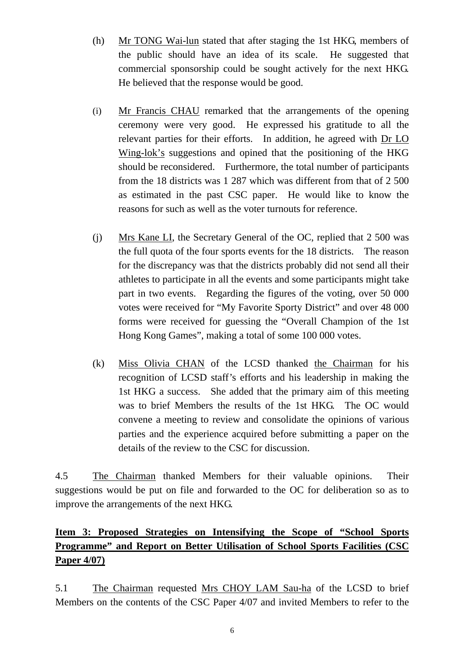- (h) Mr TONG Wai-lun stated that after staging the 1st HKG, members of the public should have an idea of its scale. He suggested that commercial sponsorship could be sought actively for the next HKG. He believed that the response would be good.
- (i) Mr Francis CHAU remarked that the arrangements of the opening ceremony were very good. He expressed his gratitude to all the relevant parties for their efforts. In addition, he agreed with Dr LO Wing-lok's suggestions and opined that the positioning of the HKG should be reconsidered. Furthermore, the total number of participants from the 18 districts was 1 287 which was different from that of 2 500 as estimated in the past CSC paper. He would like to know the reasons for such as well as the voter turnouts for reference.
- (j) Mrs Kane LI, the Secretary General of the OC, replied that 2 500 was the full quota of the four sports events for the 18 districts. The reason for the discrepancy was that the districts probably did not send all their athletes to participate in all the events and some participants might take part in two events. Regarding the figures of the voting, over 50 000 votes were received for "My Favorite Sporty District" and over 48 000 forms were received for guessing the "Overall Champion of the 1st Hong Kong Games", making a total of some 100 000 votes.
- (k) Miss Olivia CHAN of the LCSD thanked the Chairman for his recognition of LCSD staff's efforts and his leadership in making the 1st HKG a success. She added that the primary aim of this meeting was to brief Members the results of the 1st HKG. The OC would convene a meeting to review and consolidate the opinions of various parties and the experience acquired before submitting a paper on the details of the review to the CSC for discussion.

4.5 The Chairman thanked Members for their valuable opinions. Their suggestions would be put on file and forwarded to the OC for deliberation so as to improve the arrangements of the next HKG.

# **Item 3: Proposed Strategies on Intensifying the Scope of "School Sports Programme" and Report on Better Utilisation of School Sports Facilities (CSC Paper 4/07)**

5.1 The Chairman requested Mrs CHOY LAM Sau-ha of the LCSD to brief Members on the contents of the CSC Paper 4/07 and invited Members to refer to the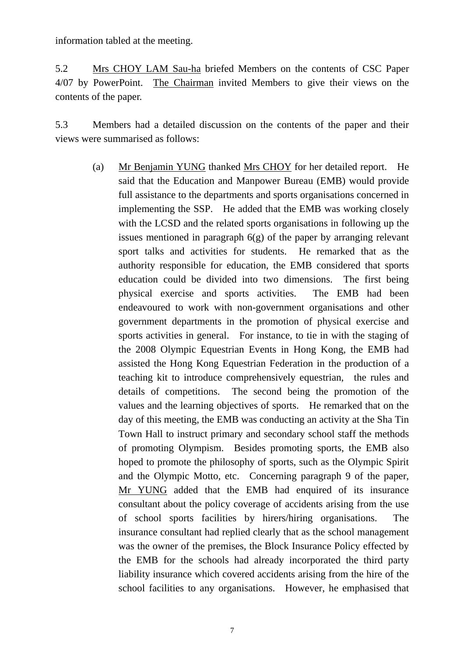information tabled at the meeting.

5.2 Mrs CHOY LAM Sau-ha briefed Members on the contents of CSC Paper 4/07 by PowerPoint. The Chairman invited Members to give their views on the contents of the paper.

5.3 Members had a detailed discussion on the contents of the paper and their views were summarised as follows:

> (a) Mr Benjamin YUNG thanked Mrs CHOY for her detailed report. He said that the Education and Manpower Bureau (EMB) would provide full assistance to the departments and sports organisations concerned in implementing the SSP. He added that the EMB was working closely with the LCSD and the related sports organisations in following up the issues mentioned in paragraph  $6(g)$  of the paper by arranging relevant sport talks and activities for students. He remarked that as the authority responsible for education, the EMB considered that sports education could be divided into two dimensions. The first being physical exercise and sports activities. The EMB had been endeavoured to work with non-government organisations and other government departments in the promotion of physical exercise and sports activities in general. For instance, to tie in with the staging of the 2008 Olympic Equestrian Events in Hong Kong, the EMB had assisted the Hong Kong Equestrian Federation in the production of a teaching kit to introduce comprehensively equestrian, the rules and details of competitions. The second being the promotion of the values and the learning objectives of sports. He remarked that on the day of this meeting, the EMB was conducting an activity at the Sha Tin Town Hall to instruct primary and secondary school staff the methods of promoting Olympism. Besides promoting sports, the EMB also hoped to promote the philosophy of sports, such as the Olympic Spirit and the Olympic Motto, etc. Concerning paragraph 9 of the paper, Mr YUNG added that the EMB had enquired of its insurance consultant about the policy coverage of accidents arising from the use of school sports facilities by hirers/hiring organisations. The insurance consultant had replied clearly that as the school management was the owner of the premises, the Block Insurance Policy effected by the EMB for the schools had already incorporated the third party liability insurance which covered accidents arising from the hire of the school facilities to any organisations. However, he emphasised that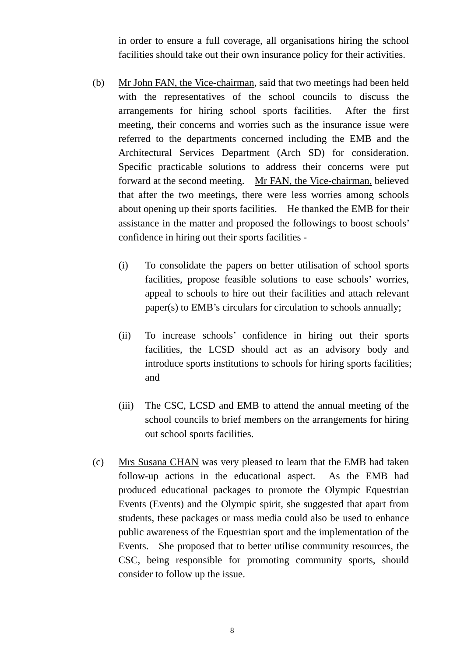in order to ensure a full coverage, all organisations hiring the school facilities should take out their own insurance policy for their activities.

- (b) Mr John FAN, the Vice-chairman, said that two meetings had been held with the representatives of the school councils to discuss the arrangements for hiring school sports facilities. After the first meeting, their concerns and worries such as the insurance issue were referred to the departments concerned including the EMB and the Architectural Services Department (Arch SD) for consideration. Specific practicable solutions to address their concerns were put forward at the second meeting. Mr FAN, the Vice-chairman, believed that after the two meetings, there were less worries among schools about opening up their sports facilities. He thanked the EMB for their assistance in the matter and proposed the followings to boost schools' confidence in hiring out their sports facilities -
	- (i) To consolidate the papers on better utilisation of school sports facilities, propose feasible solutions to ease schools' worries, appeal to schools to hire out their facilities and attach relevant paper(s) to EMB's circulars for circulation to schools annually;
	- (ii) To increase schools' confidence in hiring out their sports facilities, the LCSD should act as an advisory body and introduce sports institutions to schools for hiring sports facilities; and
	- (iii) The CSC, LCSD and EMB to attend the annual meeting of the school councils to brief members on the arrangements for hiring out school sports facilities.
- (c) Mrs Susana CHAN was very pleased to learn that the EMB had taken follow-up actions in the educational aspect. As the EMB had produced educational packages to promote the Olympic Equestrian Events (Events) and the Olympic spirit, she suggested that apart from students, these packages or mass media could also be used to enhance public awareness of the Equestrian sport and the implementation of the Events. She proposed that to better utilise community resources, the CSC, being responsible for promoting community sports, should consider to follow up the issue.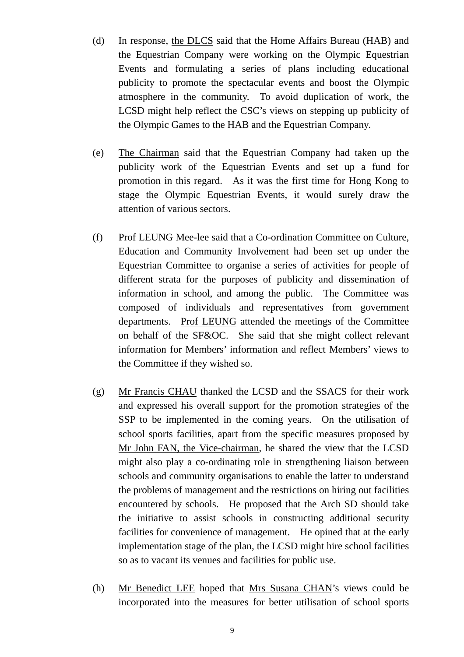- (d) In response, the DLCS said that the Home Affairs Bureau (HAB) and the Equestrian Company were working on the Olympic Equestrian Events and formulating a series of plans including educational publicity to promote the spectacular events and boost the Olympic atmosphere in the community. To avoid duplication of work, the LCSD might help reflect the CSC's views on stepping up publicity of the Olympic Games to the HAB and the Equestrian Company.
- (e) The Chairman said that the Equestrian Company had taken up the publicity work of the Equestrian Events and set up a fund for promotion in this regard. As it was the first time for Hong Kong to stage the Olympic Equestrian Events, it would surely draw the attention of various sectors.
- (f) Prof LEUNG Mee-lee said that a Co-ordination Committee on Culture, Education and Community Involvement had been set up under the Equestrian Committee to organise a series of activities for people of different strata for the purposes of publicity and dissemination of information in school, and among the public. The Committee was composed of individuals and representatives from government departments. Prof LEUNG attended the meetings of the Committee on behalf of the SF&OC. She said that she might collect relevant information for Members' information and reflect Members' views to the Committee if they wished so.
- (g) Mr Francis CHAU thanked the LCSD and the SSACS for their work and expressed his overall support for the promotion strategies of the SSP to be implemented in the coming years. On the utilisation of school sports facilities, apart from the specific measures proposed by Mr John FAN, the Vice-chairman, he shared the view that the LCSD might also play a co-ordinating role in strengthening liaison between schools and community organisations to enable the latter to understand the problems of management and the restrictions on hiring out facilities encountered by schools. He proposed that the Arch SD should take the initiative to assist schools in constructing additional security facilities for convenience of management. He opined that at the early implementation stage of the plan, the LCSD might hire school facilities so as to vacant its venues and facilities for public use.
- (h) Mr Benedict LEE hoped that Mrs Susana CHAN's views could be incorporated into the measures for better utilisation of school sports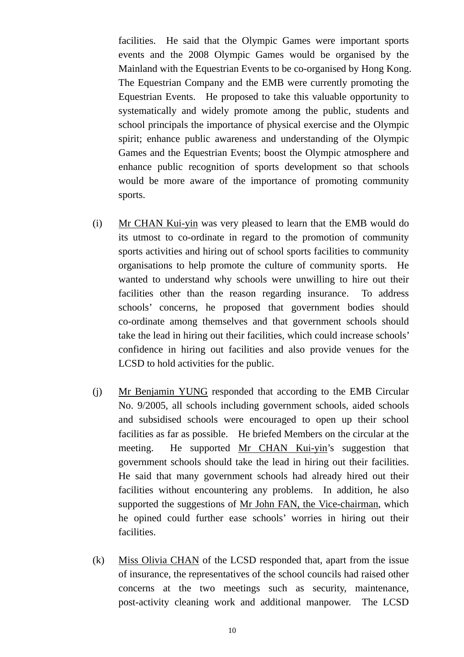facilities. He said that the Olympic Games were important sports events and the 2008 Olympic Games would be organised by the Mainland with the Equestrian Events to be co-organised by Hong Kong. The Equestrian Company and the EMB were currently promoting the Equestrian Events. He proposed to take this valuable opportunity to systematically and widely promote among the public, students and school principals the importance of physical exercise and the Olympic spirit; enhance public awareness and understanding of the Olympic Games and the Equestrian Events; boost the Olympic atmosphere and enhance public recognition of sports development so that schools would be more aware of the importance of promoting community sports.

- (i) Mr CHAN Kui-yin was very pleased to learn that the EMB would do its utmost to co-ordinate in regard to the promotion of community sports activities and hiring out of school sports facilities to community organisations to help promote the culture of community sports. He wanted to understand why schools were unwilling to hire out their facilities other than the reason regarding insurance. To address schools' concerns, he proposed that government bodies should co-ordinate among themselves and that government schools should take the lead in hiring out their facilities, which could increase schools' confidence in hiring out facilities and also provide venues for the LCSD to hold activities for the public.
- (j) Mr Benjamin YUNG responded that according to the EMB Circular No. 9/2005, all schools including government schools, aided schools and subsidised schools were encouraged to open up their school facilities as far as possible. He briefed Members on the circular at the meeting. He supported Mr CHAN Kui-yin's suggestion that government schools should take the lead in hiring out their facilities. He said that many government schools had already hired out their facilities without encountering any problems. In addition, he also supported the suggestions of Mr John FAN, the Vice-chairman, which he opined could further ease schools' worries in hiring out their facilities.
- (k) Miss Olivia CHAN of the LCSD responded that, apart from the issue of insurance, the representatives of the school councils had raised other concerns at the two meetings such as security, maintenance, post-activity cleaning work and additional manpower. The LCSD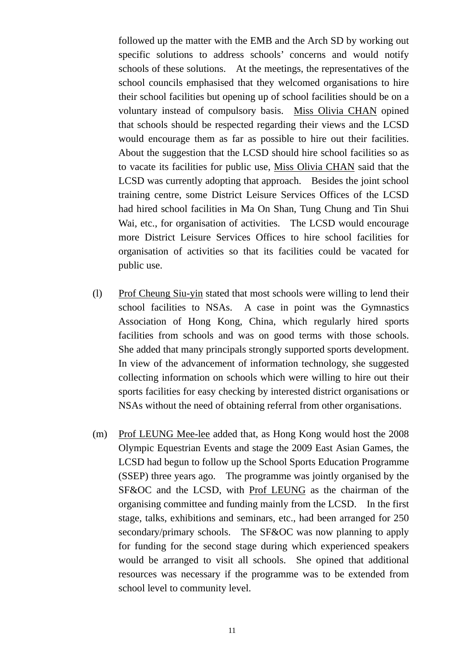followed up the matter with the EMB and the Arch SD by working out specific solutions to address schools' concerns and would notify schools of these solutions. At the meetings, the representatives of the school councils emphasised that they welcomed organisations to hire their school facilities but opening up of school facilities should be on a voluntary instead of compulsory basis. Miss Olivia CHAN opined that schools should be respected regarding their views and the LCSD would encourage them as far as possible to hire out their facilities. About the suggestion that the LCSD should hire school facilities so as to vacate its facilities for public use, Miss Olivia CHAN said that the LCSD was currently adopting that approach. Besides the joint school training centre, some District Leisure Services Offices of the LCSD had hired school facilities in Ma On Shan, Tung Chung and Tin Shui Wai, etc., for organisation of activities. The LCSD would encourage more District Leisure Services Offices to hire school facilities for organisation of activities so that its facilities could be vacated for public use.

- (l) Prof Cheung Siu-yin stated that most schools were willing to lend their school facilities to NSAs. A case in point was the Gymnastics Association of Hong Kong, China, which regularly hired sports facilities from schools and was on good terms with those schools. She added that many principals strongly supported sports development. In view of the advancement of information technology, she suggested collecting information on schools which were willing to hire out their sports facilities for easy checking by interested district organisations or NSAs without the need of obtaining referral from other organisations.
- (m) Prof LEUNG Mee-lee added that, as Hong Kong would host the 2008 Olympic Equestrian Events and stage the 2009 East Asian Games, the LCSD had begun to follow up the School Sports Education Programme (SSEP) three years ago. The programme was jointly organised by the SF&OC and the LCSD, with Prof LEUNG as the chairman of the organising committee and funding mainly from the LCSD. In the first stage, talks, exhibitions and seminars, etc., had been arranged for 250 secondary/primary schools. The SF&OC was now planning to apply for funding for the second stage during which experienced speakers would be arranged to visit all schools. She opined that additional resources was necessary if the programme was to be extended from school level to community level.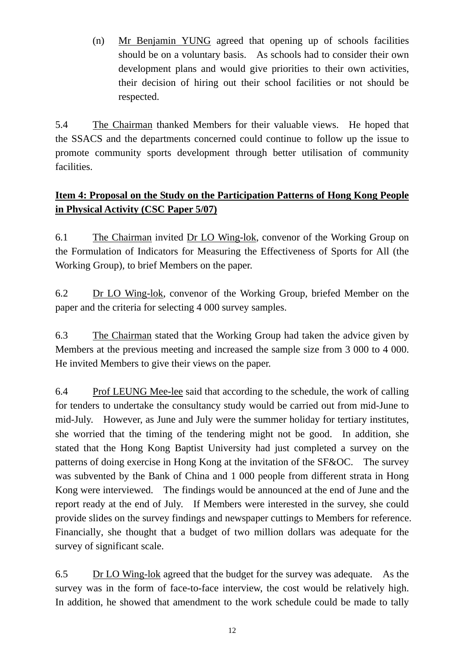(n) Mr Benjamin YUNG agreed that opening up of schools facilities should be on a voluntary basis. As schools had to consider their own development plans and would give priorities to their own activities, their decision of hiring out their school facilities or not should be respected.

5.4 The Chairman thanked Members for their valuable views. He hoped that the SSACS and the departments concerned could continue to follow up the issue to promote community sports development through better utilisation of community facilities.

# **Item 4: Proposal on the Study on the Participation Patterns of Hong Kong People in Physical Activity (CSC Paper 5/07)**

6.1 The Chairman invited Dr LO Wing-lok, convenor of the Working Group on the Formulation of Indicators for Measuring the Effectiveness of Sports for All (the Working Group), to brief Members on the paper.

6.2 Dr LO Wing-lok, convenor of the Working Group, briefed Member on the paper and the criteria for selecting 4 000 survey samples.

6.3 The Chairman stated that the Working Group had taken the advice given by Members at the previous meeting and increased the sample size from 3 000 to 4 000. He invited Members to give their views on the paper.

6.4 Prof LEUNG Mee-lee said that according to the schedule, the work of calling for tenders to undertake the consultancy study would be carried out from mid-June to mid-July. However, as June and July were the summer holiday for tertiary institutes, she worried that the timing of the tendering might not be good. In addition, she stated that the Hong Kong Baptist University had just completed a survey on the patterns of doing exercise in Hong Kong at the invitation of the SF&OC. The survey was subvented by the Bank of China and 1 000 people from different strata in Hong Kong were interviewed. The findings would be announced at the end of June and the report ready at the end of July. If Members were interested in the survey, she could provide slides on the survey findings and newspaper cuttings to Members for reference. Financially, she thought that a budget of two million dollars was adequate for the survey of significant scale.

6.5 Dr LO Wing-lok agreed that the budget for the survey was adequate. As the survey was in the form of face-to-face interview, the cost would be relatively high. In addition, he showed that amendment to the work schedule could be made to tally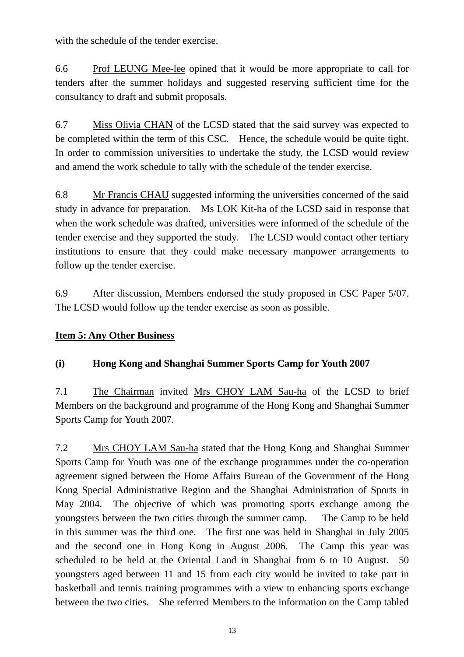with the schedule of the tender exercise.

6.6 Prof LEUNG Mee-lee opined that it would be more appropriate to call for tenders after the summer holidays and suggested reserving sufficient time for the consultancy to draft and submit proposals.

6.7 Miss Olivia CHAN of the LCSD stated that the said survey was expected to be completed within the term of this CSC. Hence, the schedule would be quite tight. In order to commission universities to undertake the study, the LCSD would review and amend the work schedule to tally with the schedule of the tender exercise.

6.8 Mr Francis CHAU suggested informing the universities concerned of the said study in advance for preparation. Ms LOK Kit-ha of the LCSD said in response that when the work schedule was drafted, universities were informed of the schedule of the tender exercise and they supported the study. The LCSD would contact other tertiary institutions to ensure that they could make necessary manpower arrangements to follow up the tender exercise.

6.9 After discussion, Members endorsed the study proposed in CSC Paper 5/07. The LCSD would follow up the tender exercise as soon as possible.

## **Item 5: Any Other Business**

## **(i) Hong Kong and Shanghai Summer Sports Camp for Youth 2007**

7.1 The Chairman invited Mrs CHOY LAM Sau-ha of the LCSD to brief Members on the background and programme of the Hong Kong and Shanghai Summer Sports Camp for Youth 2007.

7.2 Mrs CHOY LAM Sau-ha stated that the Hong Kong and Shanghai Summer Sports Camp for Youth was one of the exchange programmes under the co-operation agreement signed between the Home Affairs Bureau of the Government of the Hong Kong Special Administrative Region and the Shanghai Administration of Sports in May 2004. The objective of which was promoting sports exchange among the youngsters between the two cities through the summer camp. The Camp to be held in this summer was the third one. The first one was held in Shanghai in July 2005 and the second one in Hong Kong in August 2006. The Camp this year was scheduled to be held at the Oriental Land in Shanghai from 6 to 10 August. 50 youngsters aged between 11 and 15 from each city would be invited to take part in basketball and tennis training programmes with a view to enhancing sports exchange between the two cities. She referred Members to the information on the Camp tabled